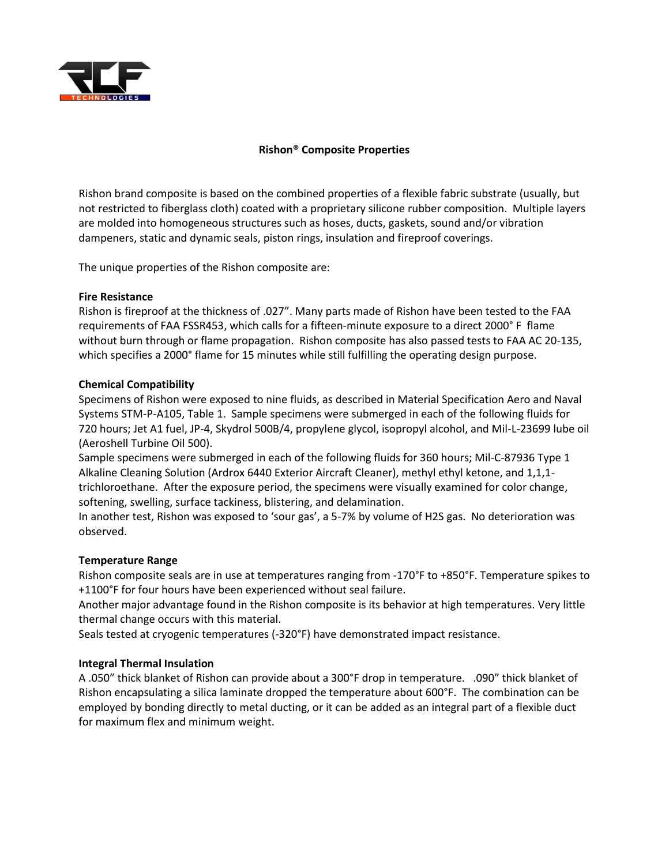

# **Rishon® Composite Properties**

Rishon brand composite is based on the combined properties of a flexible fabric substrate (usually, but not restricted to fiberglass cloth) coated with a proprietary silicone rubber composition. Multiple layers are molded into homogeneous structures such as hoses, ducts, gaskets, sound and/or vibration dampeners, static and dynamic seals, piston rings, insulation and fireproof coverings.

The unique properties of the Rishon composite are:

## **Fire Resistance**

Rishon is fireproof at the thickness of .027". Many parts made of Rishon have been tested to the FAA requirements of FAA FSSR453, which calls for a fifteen-minute exposure to a direct 2000° F flame without burn through or flame propagation. Rishon composite has also passed tests to FAA AC 20-135, which specifies a 2000° flame for 15 minutes while still fulfilling the operating design purpose.

## **Chemical Compatibility**

Specimens of Rishon were exposed to nine fluids, as described in Material Specification Aero and Naval Systems STM-P-A105, Table 1. Sample specimens were submerged in each of the following fluids for 720 hours; Jet A1 fuel, JP-4, Skydrol 500B/4, propylene glycol, isopropyl alcohol, and Mil-L-23699 lube oil (Aeroshell Turbine Oil 500).

Sample specimens were submerged in each of the following fluids for 360 hours; Mil-C-87936 Type 1 Alkaline Cleaning Solution (Ardrox 6440 Exterior Aircraft Cleaner), methyl ethyl ketone, and 1,1,1 trichloroethane. After the exposure period, the specimens were visually examined for color change, softening, swelling, surface tackiness, blistering, and delamination.

In another test, Rishon was exposed to 'sour gas', a 5-7% by volume of H2S gas. No deterioration was observed.

### **Temperature Range**

Rishon composite seals are in use at temperatures ranging from -170°F to +850°F. Temperature spikes to +1100°F for four hours have been experienced without seal failure.

Another major advantage found in the Rishon composite is its behavior at high temperatures. Very little thermal change occurs with this material.

Seals tested at cryogenic temperatures (-320°F) have demonstrated impact resistance.

### **Integral Thermal Insulation**

A .050" thick blanket of Rishon can provide about a 300°F drop in temperature. .090" thick blanket of Rishon encapsulating a silica laminate dropped the temperature about 600°F. The combination can be employed by bonding directly to metal ducting, or it can be added as an integral part of a flexible duct for maximum flex and minimum weight.